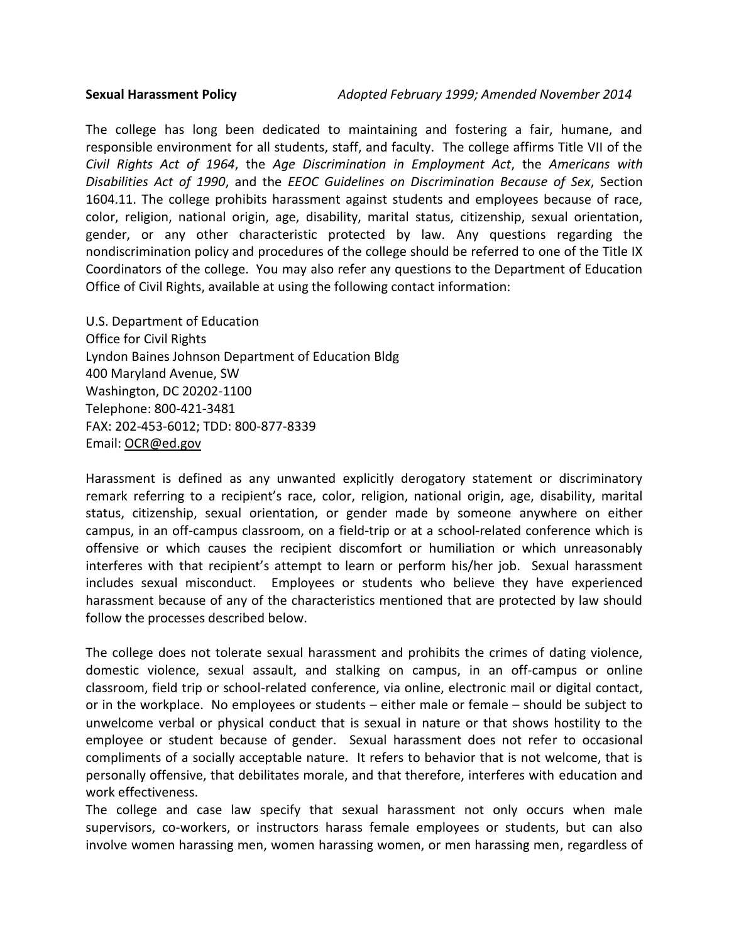The college has long been dedicated to maintaining and fostering a fair, humane, and responsible environment for all students, staff, and faculty. The college affirms Title VII of the *Civil Rights Act of 1964*, the *Age Discrimination in Employment Act*, the *Americans with Disabilities Act of 1990*, and the *EEOC Guidelines on Discrimination Because of Sex*, Section 1604.11. The college prohibits harassment against students and employees because of race, color, religion, national origin, age, disability, marital status, citizenship, sexual orientation, gender, or any other characteristic protected by law. Any questions regarding the nondiscrimination policy and procedures of the college should be referred to one of the Title IX Coordinators of the college. You may also refer any questions to the Department of Education Office of Civil Rights, available at using the following contact information:

U.S. Department of Education Office for Civil Rights Lyndon Baines Johnson Department of Education Bldg 400 Maryland Avenue, SW Washington, DC 20202-1100 Telephone: 800-421-3481 FAX: 202-453-6012; TDD: 800-877-8339 Email: [OCR@ed.gov](mailto:OCR@ed.gov)

Harassment is defined as any unwanted explicitly derogatory statement or discriminatory remark referring to a recipient's race, color, religion, national origin, age, disability, marital status, citizenship, sexual orientation, or gender made by someone anywhere on either campus, in an off-campus classroom, on a field-trip or at a school-related conference which is offensive or which causes the recipient discomfort or humiliation or which unreasonably interferes with that recipient's attempt to learn or perform his/her job. Sexual harassment includes sexual misconduct. Employees or students who believe they have experienced harassment because of any of the characteristics mentioned that are protected by law should follow the processes described below.

The college does not tolerate sexual harassment and prohibits the crimes of dating violence, domestic violence, sexual assault, and stalking on campus, in an off-campus or online classroom, field trip or school-related conference, via online, electronic mail or digital contact, or in the workplace. No employees or students – either male or female – should be subject to unwelcome verbal or physical conduct that is sexual in nature or that shows hostility to the employee or student because of gender. Sexual harassment does not refer to occasional compliments of a socially acceptable nature. It refers to behavior that is not welcome, that is personally offensive, that debilitates morale, and that therefore, interferes with education and work effectiveness.

The college and case law specify that sexual harassment not only occurs when male supervisors, co-workers, or instructors harass female employees or students, but can also involve women harassing men, women harassing women, or men harassing men, regardless of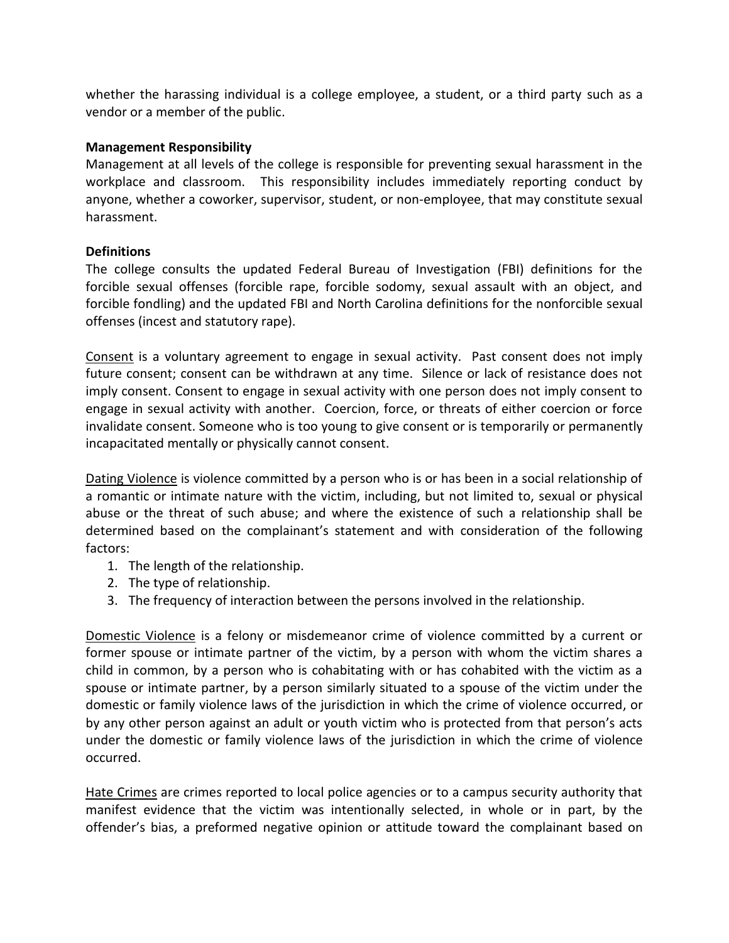whether the harassing individual is a college employee, a student, or a third party such as a vendor or a member of the public.

# **Management Responsibility**

Management at all levels of the college is responsible for preventing sexual harassment in the workplace and classroom. This responsibility includes immediately reporting conduct by anyone, whether a coworker, supervisor, student, or non-employee, that may constitute sexual harassment.

# **Definitions**

The college consults the updated Federal Bureau of Investigation (FBI) definitions for the forcible sexual offenses (forcible rape, forcible sodomy, sexual assault with an object, and forcible fondling) and the updated FBI and North Carolina definitions for the nonforcible sexual offenses (incest and statutory rape).

Consent is a voluntary agreement to engage in sexual activity. Past consent does not imply future consent; consent can be withdrawn at any time. Silence or lack of resistance does not imply consent. Consent to engage in sexual activity with one person does not imply consent to engage in sexual activity with another. Coercion, force, or threats of either coercion or force invalidate consent. Someone who is too young to give consent or is temporarily or permanently incapacitated mentally or physically cannot consent.

Dating Violence is violence committed by a person who is or has been in a social relationship of a romantic or intimate nature with the victim, including, but not limited to, sexual or physical abuse or the threat of such abuse; and where the existence of such a relationship shall be determined based on the complainant's statement and with consideration of the following factors:

- 1. The length of the relationship.
- 2. The type of relationship.
- 3. The frequency of interaction between the persons involved in the relationship.

Domestic Violence is a felony or misdemeanor crime of violence committed by a current or former spouse or intimate partner of the victim, by a person with whom the victim shares a child in common, by a person who is cohabitating with or has cohabited with the victim as a spouse or intimate partner, by a person similarly situated to a spouse of the victim under the domestic or family violence laws of the jurisdiction in which the crime of violence occurred, or by any other person against an adult or youth victim who is protected from that person's acts under the domestic or family violence laws of the jurisdiction in which the crime of violence occurred.

Hate Crimes are crimes reported to local police agencies or to a campus security authority that manifest evidence that the victim was intentionally selected, in whole or in part, by the offender's bias, a preformed negative opinion or attitude toward the complainant based on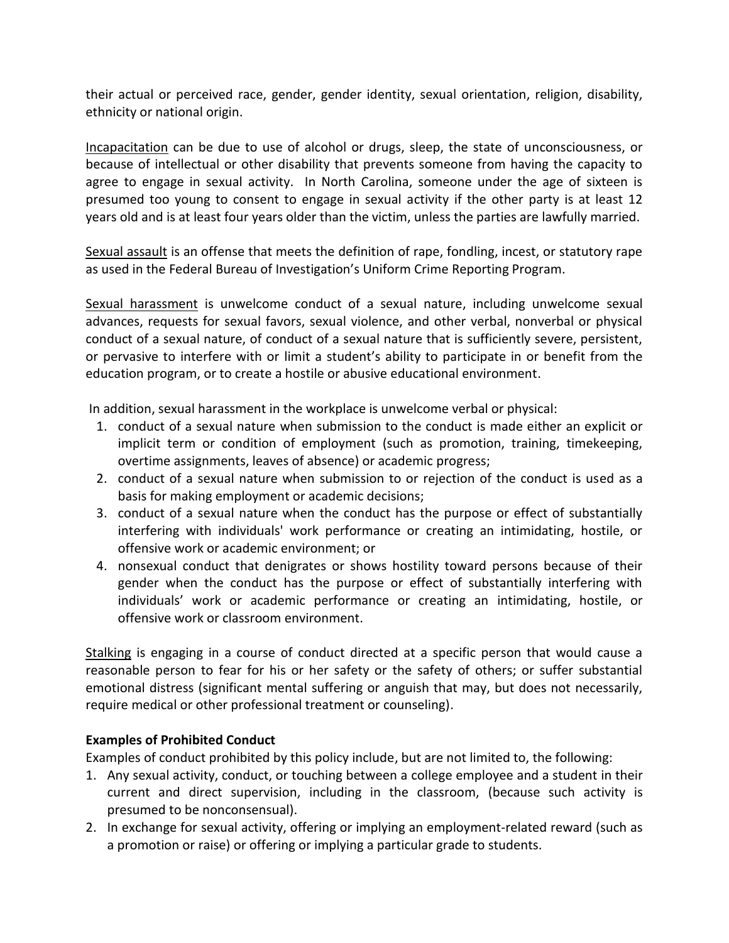their actual or perceived race, gender, gender identity, sexual orientation, religion, disability, ethnicity or national origin.

Incapacitation can be due to use of alcohol or drugs, sleep, the state of unconsciousness, or because of intellectual or other disability that prevents someone from having the capacity to agree to engage in sexual activity. In North Carolina, someone under the age of sixteen is presumed too young to consent to engage in sexual activity if the other party is at least 12 years old and is at least four years older than the victim, unless the parties are lawfully married.

Sexual assault is an offense that meets the definition of rape, fondling, incest, or statutory rape as used in the Federal Bureau of Investigation's Uniform Crime Reporting Program.

Sexual harassment is unwelcome conduct of a sexual nature, including unwelcome sexual advances, requests for sexual favors, sexual violence, and other verbal, nonverbal or physical conduct of a sexual nature, of conduct of a sexual nature that is sufficiently severe, persistent, or pervasive to interfere with or limit a student's ability to participate in or benefit from the education program, or to create a hostile or abusive educational environment.

In addition, sexual harassment in the workplace is unwelcome verbal or physical:

- 1. conduct of a sexual nature when submission to the conduct is made either an explicit or implicit term or condition of employment (such as promotion, training, timekeeping, overtime assignments, leaves of absence) or academic progress;
- 2. conduct of a sexual nature when submission to or rejection of the conduct is used as a basis for making employment or academic decisions;
- 3. conduct of a sexual nature when the conduct has the purpose or effect of substantially interfering with individuals' work performance or creating an intimidating, hostile, or offensive work or academic environment; or
- 4. nonsexual conduct that denigrates or shows hostility toward persons because of their gender when the conduct has the purpose or effect of substantially interfering with individuals' work or academic performance or creating an intimidating, hostile, or offensive work or classroom environment.

Stalking is engaging in a course of conduct directed at a specific person that would cause a reasonable person to fear for his or her safety or the safety of others; or suffer substantial emotional distress (significant mental suffering or anguish that may, but does not necessarily, require medical or other professional treatment or counseling).

# **Examples of Prohibited Conduct**

Examples of conduct prohibited by this policy include, but are not limited to, the following:

- 1. Any sexual activity, conduct, or touching between a college employee and a student in their current and direct supervision, including in the classroom, (because such activity is presumed to be nonconsensual).
- 2. In exchange for sexual activity, offering or implying an employment-related reward (such as a promotion or raise) or offering or implying a particular grade to students.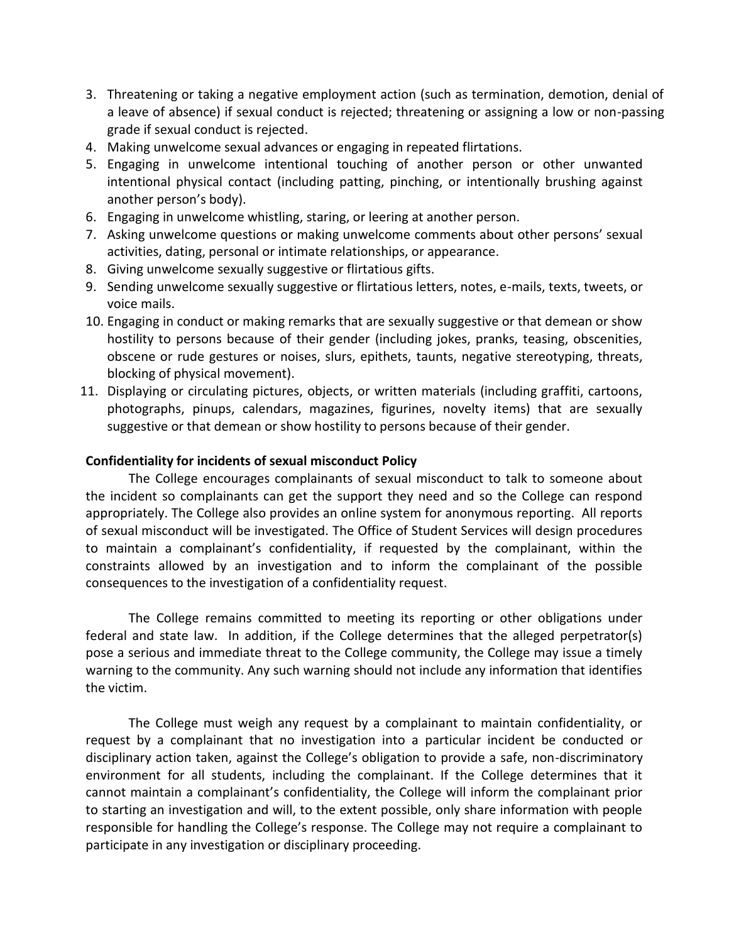- 3. Threatening or taking a negative employment action (such as termination, demotion, denial of a leave of absence) if sexual conduct is rejected; threatening or assigning a low or non-passing grade if sexual conduct is rejected.
- 4. Making unwelcome sexual advances or engaging in repeated flirtations.
- 5. Engaging in unwelcome intentional touching of another person or other unwanted intentional physical contact (including patting, pinching, or intentionally brushing against another person's body).
- 6. Engaging in unwelcome whistling, staring, or leering at another person.
- 7. Asking unwelcome questions or making unwelcome comments about other persons' sexual activities, dating, personal or intimate relationships, or appearance.
- 8. Giving unwelcome sexually suggestive or flirtatious gifts.
- 9. Sending unwelcome sexually suggestive or flirtatious letters, notes, e-mails, texts, tweets, or voice mails.
- 10. Engaging in conduct or making remarks that are sexually suggestive or that demean or show hostility to persons because of their gender (including jokes, pranks, teasing, obscenities, obscene or rude gestures or noises, slurs, epithets, taunts, negative stereotyping, threats, blocking of physical movement).
- 11. Displaying or circulating pictures, objects, or written materials (including graffiti, cartoons, photographs, pinups, calendars, magazines, figurines, novelty items) that are sexually suggestive or that demean or show hostility to persons because of their gender.

## **Confidentiality for incidents of sexual misconduct Policy**

The College encourages complainants of sexual misconduct to talk to someone about the incident so complainants can get the support they need and so the College can respond appropriately. The College also provides an online system for anonymous reporting. All reports of sexual misconduct will be investigated. The Office of Student Services will design procedures to maintain a complainant's confidentiality, if requested by the complainant, within the constraints allowed by an investigation and to inform the complainant of the possible consequences to the investigation of a confidentiality request.

The College remains committed to meeting its reporting or other obligations under federal and state law. In addition, if the College determines that the alleged perpetrator(s) pose a serious and immediate threat to the College community, the College may issue a timely warning to the community. Any such warning should not include any information that identifies the victim.

The College must weigh any request by a complainant to maintain confidentiality, or request by a complainant that no investigation into a particular incident be conducted or disciplinary action taken, against the College's obligation to provide a safe, non-discriminatory environment for all students, including the complainant. If the College determines that it cannot maintain a complainant's confidentiality, the College will inform the complainant prior to starting an investigation and will, to the extent possible, only share information with people responsible for handling the College's response. The College may not require a complainant to participate in any investigation or disciplinary proceeding.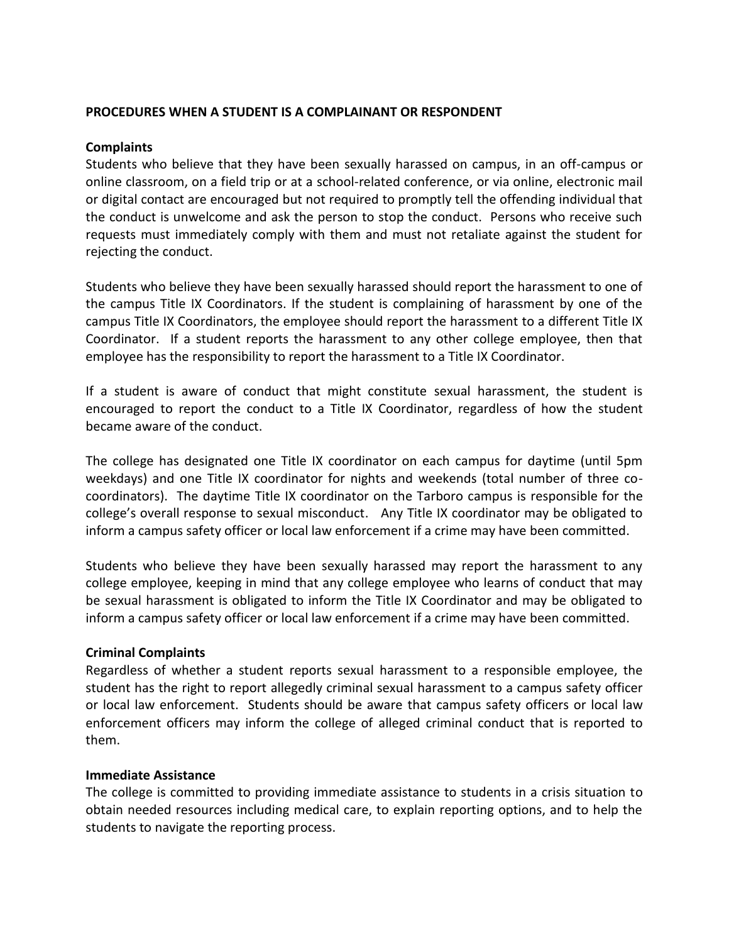#### **PROCEDURES WHEN A STUDENT IS A COMPLAINANT OR RESPONDENT**

#### **Complaints**

Students who believe that they have been sexually harassed on campus, in an off-campus or online classroom, on a field trip or at a school-related conference, or via online, electronic mail or digital contact are encouraged but not required to promptly tell the offending individual that the conduct is unwelcome and ask the person to stop the conduct. Persons who receive such requests must immediately comply with them and must not retaliate against the student for rejecting the conduct.

Students who believe they have been sexually harassed should report the harassment to one of the campus Title IX Coordinators. If the student is complaining of harassment by one of the campus Title IX Coordinators, the employee should report the harassment to a different Title IX Coordinator. If a student reports the harassment to any other college employee, then that employee has the responsibility to report the harassment to a Title IX Coordinator.

If a student is aware of conduct that might constitute sexual harassment, the student is encouraged to report the conduct to a Title IX Coordinator, regardless of how the student became aware of the conduct.

The college has designated one Title IX coordinator on each campus for daytime (until 5pm weekdays) and one Title IX coordinator for nights and weekends (total number of three cocoordinators). The daytime Title IX coordinator on the Tarboro campus is responsible for the college's overall response to sexual misconduct. Any Title IX coordinator may be obligated to inform a campus safety officer or local law enforcement if a crime may have been committed.

Students who believe they have been sexually harassed may report the harassment to any college employee, keeping in mind that any college employee who learns of conduct that may be sexual harassment is obligated to inform the Title IX Coordinator and may be obligated to inform a campus safety officer or local law enforcement if a crime may have been committed.

## **Criminal Complaints**

Regardless of whether a student reports sexual harassment to a responsible employee, the student has the right to report allegedly criminal sexual harassment to a campus safety officer or local law enforcement. Students should be aware that campus safety officers or local law enforcement officers may inform the college of alleged criminal conduct that is reported to them.

#### **Immediate Assistance**

The college is committed to providing immediate assistance to students in a crisis situation to obtain needed resources including medical care, to explain reporting options, and to help the students to navigate the reporting process.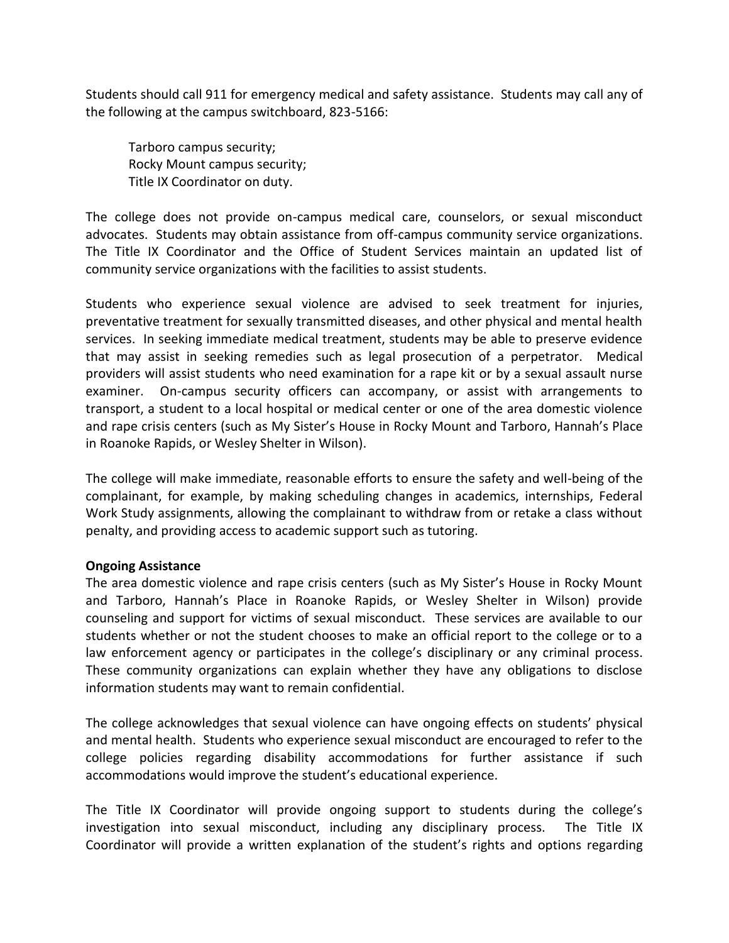Students should call 911 for emergency medical and safety assistance. Students may call any of the following at the campus switchboard, 823-5166:

Tarboro campus security; Rocky Mount campus security; Title IX Coordinator on duty.

The college does not provide on-campus medical care, counselors, or sexual misconduct advocates. Students may obtain assistance from off-campus community service organizations. The Title IX Coordinator and the Office of Student Services maintain an updated list of community service organizations with the facilities to assist students.

Students who experience sexual violence are advised to seek treatment for injuries, preventative treatment for sexually transmitted diseases, and other physical and mental health services. In seeking immediate medical treatment, students may be able to preserve evidence that may assist in seeking remedies such as legal prosecution of a perpetrator. Medical providers will assist students who need examination for a rape kit or by a sexual assault nurse examiner. On-campus security officers can accompany, or assist with arrangements to transport, a student to a local hospital or medical center or one of the area domestic violence and rape crisis centers (such as My Sister's House in Rocky Mount and Tarboro, Hannah's Place in Roanoke Rapids, or Wesley Shelter in Wilson).

The college will make immediate, reasonable efforts to ensure the safety and well-being of the complainant, for example, by making scheduling changes in academics, internships, Federal Work Study assignments, allowing the complainant to withdraw from or retake a class without penalty, and providing access to academic support such as tutoring.

## **Ongoing Assistance**

The area domestic violence and rape crisis centers (such as My Sister's House in Rocky Mount and Tarboro, Hannah's Place in Roanoke Rapids, or Wesley Shelter in Wilson) provide counseling and support for victims of sexual misconduct. These services are available to our students whether or not the student chooses to make an official report to the college or to a law enforcement agency or participates in the college's disciplinary or any criminal process. These community organizations can explain whether they have any obligations to disclose information students may want to remain confidential.

The college acknowledges that sexual violence can have ongoing effects on students' physical and mental health. Students who experience sexual misconduct are encouraged to refer to the college policies regarding disability accommodations for further assistance if such accommodations would improve the student's educational experience.

The Title IX Coordinator will provide ongoing support to students during the college's investigation into sexual misconduct, including any disciplinary process. The Title IX Coordinator will provide a written explanation of the student's rights and options regarding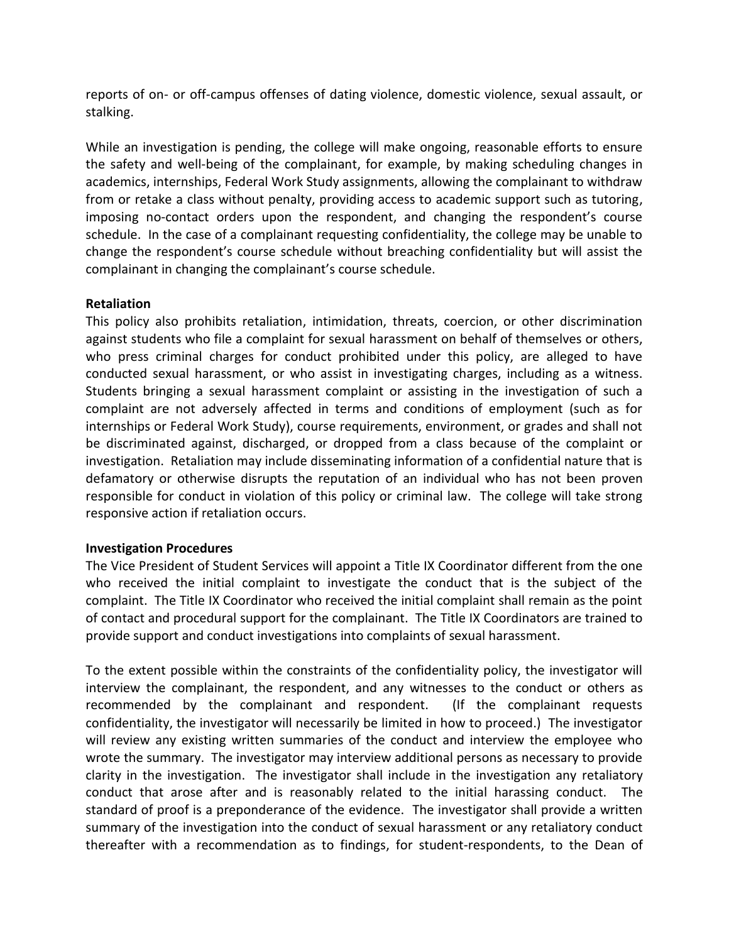reports of on- or off-campus offenses of dating violence, domestic violence, sexual assault, or stalking.

While an investigation is pending, the college will make ongoing, reasonable efforts to ensure the safety and well-being of the complainant, for example, by making scheduling changes in academics, internships, Federal Work Study assignments, allowing the complainant to withdraw from or retake a class without penalty, providing access to academic support such as tutoring, imposing no-contact orders upon the respondent, and changing the respondent's course schedule. In the case of a complainant requesting confidentiality, the college may be unable to change the respondent's course schedule without breaching confidentiality but will assist the complainant in changing the complainant's course schedule.

## **Retaliation**

This policy also prohibits retaliation, intimidation, threats, coercion, or other discrimination against students who file a complaint for sexual harassment on behalf of themselves or others, who press criminal charges for conduct prohibited under this policy, are alleged to have conducted sexual harassment, or who assist in investigating charges, including as a witness. Students bringing a sexual harassment complaint or assisting in the investigation of such a complaint are not adversely affected in terms and conditions of employment (such as for internships or Federal Work Study), course requirements, environment, or grades and shall not be discriminated against, discharged, or dropped from a class because of the complaint or investigation. Retaliation may include disseminating information of a confidential nature that is defamatory or otherwise disrupts the reputation of an individual who has not been proven responsible for conduct in violation of this policy or criminal law. The college will take strong responsive action if retaliation occurs.

## **Investigation Procedures**

The Vice President of Student Services will appoint a Title IX Coordinator different from the one who received the initial complaint to investigate the conduct that is the subject of the complaint. The Title IX Coordinator who received the initial complaint shall remain as the point of contact and procedural support for the complainant. The Title IX Coordinators are trained to provide support and conduct investigations into complaints of sexual harassment.

To the extent possible within the constraints of the confidentiality policy, the investigator will interview the complainant, the respondent, and any witnesses to the conduct or others as recommended by the complainant and respondent. (If the complainant requests confidentiality, the investigator will necessarily be limited in how to proceed.) The investigator will review any existing written summaries of the conduct and interview the employee who wrote the summary. The investigator may interview additional persons as necessary to provide clarity in the investigation. The investigator shall include in the investigation any retaliatory conduct that arose after and is reasonably related to the initial harassing conduct. The standard of proof is a preponderance of the evidence. The investigator shall provide a written summary of the investigation into the conduct of sexual harassment or any retaliatory conduct thereafter with a recommendation as to findings, for student-respondents, to the Dean of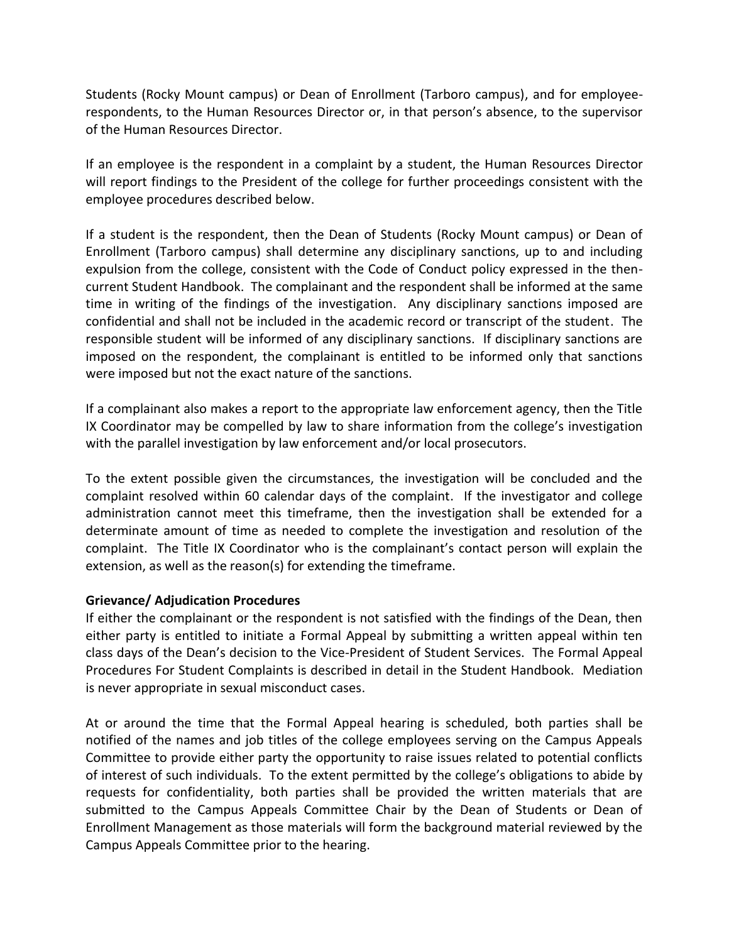Students (Rocky Mount campus) or Dean of Enrollment (Tarboro campus), and for employeerespondents, to the Human Resources Director or, in that person's absence, to the supervisor of the Human Resources Director.

If an employee is the respondent in a complaint by a student, the Human Resources Director will report findings to the President of the college for further proceedings consistent with the employee procedures described below.

If a student is the respondent, then the Dean of Students (Rocky Mount campus) or Dean of Enrollment (Tarboro campus) shall determine any disciplinary sanctions, up to and including expulsion from the college, consistent with the Code of Conduct policy expressed in the thencurrent Student Handbook. The complainant and the respondent shall be informed at the same time in writing of the findings of the investigation. Any disciplinary sanctions imposed are confidential and shall not be included in the academic record or transcript of the student. The responsible student will be informed of any disciplinary sanctions. If disciplinary sanctions are imposed on the respondent, the complainant is entitled to be informed only that sanctions were imposed but not the exact nature of the sanctions.

If a complainant also makes a report to the appropriate law enforcement agency, then the Title IX Coordinator may be compelled by law to share information from the college's investigation with the parallel investigation by law enforcement and/or local prosecutors.

To the extent possible given the circumstances, the investigation will be concluded and the complaint resolved within 60 calendar days of the complaint. If the investigator and college administration cannot meet this timeframe, then the investigation shall be extended for a determinate amount of time as needed to complete the investigation and resolution of the complaint. The Title IX Coordinator who is the complainant's contact person will explain the extension, as well as the reason(s) for extending the timeframe.

## **Grievance/ Adjudication Procedures**

If either the complainant or the respondent is not satisfied with the findings of the Dean, then either party is entitled to initiate a Formal Appeal by submitting a written appeal within ten class days of the Dean's decision to the Vice-President of Student Services. The Formal Appeal Procedures For Student Complaints is described in detail in the Student Handbook. Mediation is never appropriate in sexual misconduct cases.

At or around the time that the Formal Appeal hearing is scheduled, both parties shall be notified of the names and job titles of the college employees serving on the Campus Appeals Committee to provide either party the opportunity to raise issues related to potential conflicts of interest of such individuals. To the extent permitted by the college's obligations to abide by requests for confidentiality, both parties shall be provided the written materials that are submitted to the Campus Appeals Committee Chair by the Dean of Students or Dean of Enrollment Management as those materials will form the background material reviewed by the Campus Appeals Committee prior to the hearing.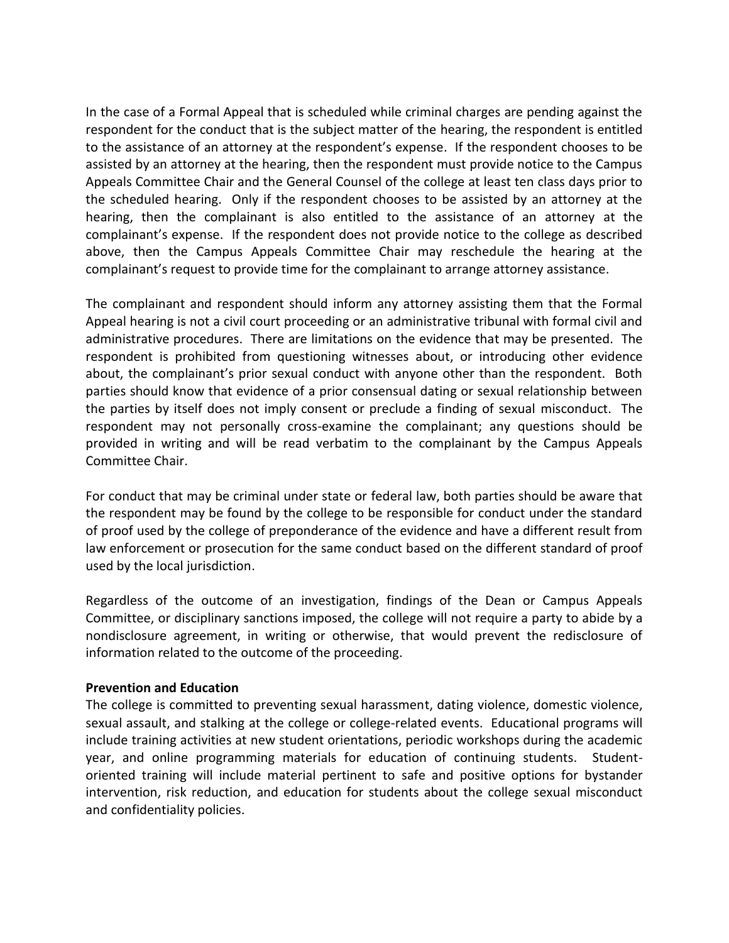In the case of a Formal Appeal that is scheduled while criminal charges are pending against the respondent for the conduct that is the subject matter of the hearing, the respondent is entitled to the assistance of an attorney at the respondent's expense. If the respondent chooses to be assisted by an attorney at the hearing, then the respondent must provide notice to the Campus Appeals Committee Chair and the General Counsel of the college at least ten class days prior to the scheduled hearing. Only if the respondent chooses to be assisted by an attorney at the hearing, then the complainant is also entitled to the assistance of an attorney at the complainant's expense. If the respondent does not provide notice to the college as described above, then the Campus Appeals Committee Chair may reschedule the hearing at the complainant's request to provide time for the complainant to arrange attorney assistance.

The complainant and respondent should inform any attorney assisting them that the Formal Appeal hearing is not a civil court proceeding or an administrative tribunal with formal civil and administrative procedures. There are limitations on the evidence that may be presented. The respondent is prohibited from questioning witnesses about, or introducing other evidence about, the complainant's prior sexual conduct with anyone other than the respondent. Both parties should know that evidence of a prior consensual dating or sexual relationship between the parties by itself does not imply consent or preclude a finding of sexual misconduct. The respondent may not personally cross-examine the complainant; any questions should be provided in writing and will be read verbatim to the complainant by the Campus Appeals Committee Chair.

For conduct that may be criminal under state or federal law, both parties should be aware that the respondent may be found by the college to be responsible for conduct under the standard of proof used by the college of preponderance of the evidence and have a different result from law enforcement or prosecution for the same conduct based on the different standard of proof used by the local jurisdiction.

Regardless of the outcome of an investigation, findings of the Dean or Campus Appeals Committee, or disciplinary sanctions imposed, the college will not require a party to abide by a nondisclosure agreement, in writing or otherwise, that would prevent the redisclosure of information related to the outcome of the proceeding.

## **Prevention and Education**

The college is committed to preventing sexual harassment, dating violence, domestic violence, sexual assault, and stalking at the college or college-related events. Educational programs will include training activities at new student orientations, periodic workshops during the academic year, and online programming materials for education of continuing students. Studentoriented training will include material pertinent to safe and positive options for bystander intervention, risk reduction, and education for students about the college sexual misconduct and confidentiality policies.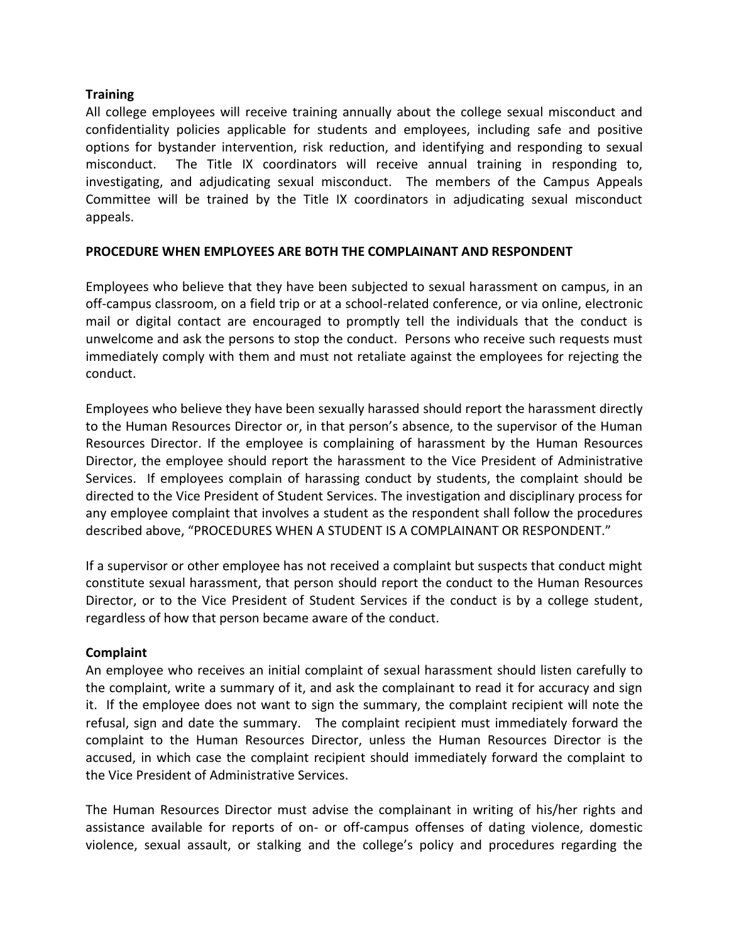# **Training**

All college employees will receive training annually about the college sexual misconduct and confidentiality policies applicable for students and employees, including safe and positive options for bystander intervention, risk reduction, and identifying and responding to sexual misconduct. The Title IX coordinators will receive annual training in responding to, investigating, and adjudicating sexual misconduct. The members of the Campus Appeals Committee will be trained by the Title IX coordinators in adjudicating sexual misconduct appeals.

# **PROCEDURE WHEN EMPLOYEES ARE BOTH THE COMPLAINANT AND RESPONDENT**

Employees who believe that they have been subjected to sexual harassment on campus, in an off-campus classroom, on a field trip or at a school-related conference, or via online, electronic mail or digital contact are encouraged to promptly tell the individuals that the conduct is unwelcome and ask the persons to stop the conduct. Persons who receive such requests must immediately comply with them and must not retaliate against the employees for rejecting the conduct.

Employees who believe they have been sexually harassed should report the harassment directly to the Human Resources Director or, in that person's absence, to the supervisor of the Human Resources Director. If the employee is complaining of harassment by the Human Resources Director, the employee should report the harassment to the Vice President of Administrative Services. If employees complain of harassing conduct by students, the complaint should be directed to the Vice President of Student Services. The investigation and disciplinary process for any employee complaint that involves a student as the respondent shall follow the procedures described above, "PROCEDURES WHEN A STUDENT IS A COMPLAINANT OR RESPONDENT."

If a supervisor or other employee has not received a complaint but suspects that conduct might constitute sexual harassment, that person should report the conduct to the Human Resources Director, or to the Vice President of Student Services if the conduct is by a college student, regardless of how that person became aware of the conduct.

## **Complaint**

An employee who receives an initial complaint of sexual harassment should listen carefully to the complaint, write a summary of it, and ask the complainant to read it for accuracy and sign it. If the employee does not want to sign the summary, the complaint recipient will note the refusal, sign and date the summary. The complaint recipient must immediately forward the complaint to the Human Resources Director, unless the Human Resources Director is the accused, in which case the complaint recipient should immediately forward the complaint to the Vice President of Administrative Services.

The Human Resources Director must advise the complainant in writing of his/her rights and assistance available for reports of on- or off-campus offenses of dating violence, domestic violence, sexual assault, or stalking and the college's policy and procedures regarding the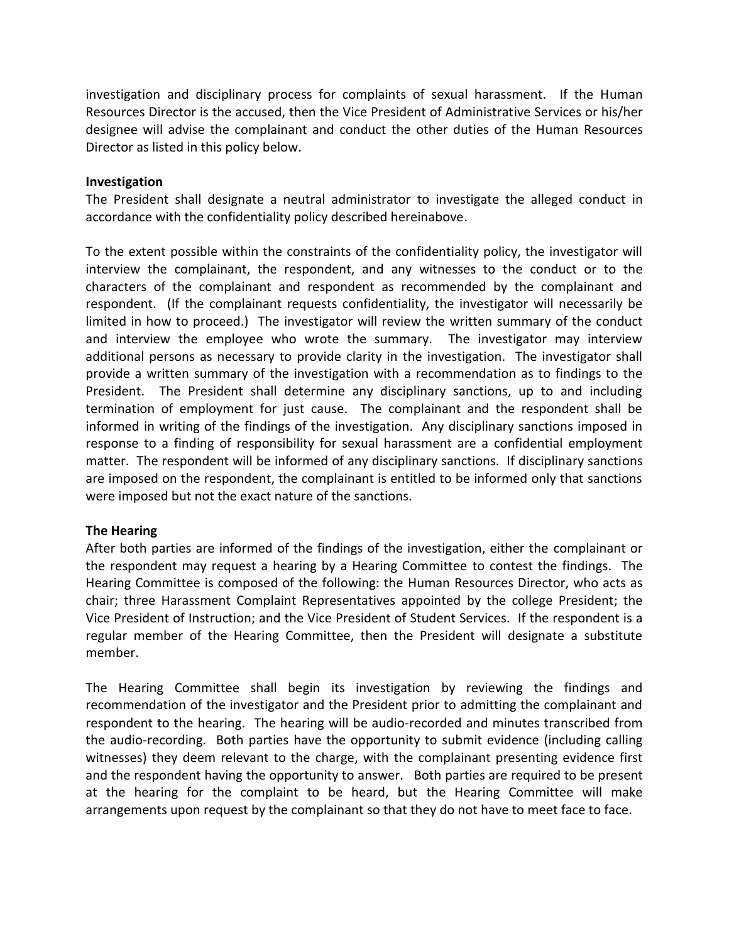investigation and disciplinary process for complaints of sexual harassment. If the Human Resources Director is the accused, then the Vice President of Administrative Services or his/her designee will advise the complainant and conduct the other duties of the Human Resources Director as listed in this policy below.

#### **Investigation**

The President shall designate a neutral administrator to investigate the alleged conduct in accordance with the confidentiality policy described hereinabove.

To the extent possible within the constraints of the confidentiality policy, the investigator will interview the complainant, the respondent, and any witnesses to the conduct or to the characters of the complainant and respondent as recommended by the complainant and respondent. (If the complainant requests confidentiality, the investigator will necessarily be limited in how to proceed.) The investigator will review the written summary of the conduct and interview the employee who wrote the summary. The investigator may interview additional persons as necessary to provide clarity in the investigation. The investigator shall provide a written summary of the investigation with a recommendation as to findings to the President. The President shall determine any disciplinary sanctions, up to and including termination of employment for just cause. The complainant and the respondent shall be informed in writing of the findings of the investigation. Any disciplinary sanctions imposed in response to a finding of responsibility for sexual harassment are a confidential employment matter. The respondent will be informed of any disciplinary sanctions. If disciplinary sanctions are imposed on the respondent, the complainant is entitled to be informed only that sanctions were imposed but not the exact nature of the sanctions.

## **The Hearing**

After both parties are informed of the findings of the investigation, either the complainant or the respondent may request a hearing by a Hearing Committee to contest the findings. The Hearing Committee is composed of the following: the Human Resources Director, who acts as chair; three Harassment Complaint Representatives appointed by the college President; the Vice President of Instruction; and the Vice President of Student Services. If the respondent is a regular member of the Hearing Committee, then the President will designate a substitute member.

The Hearing Committee shall begin its investigation by reviewing the findings and recommendation of the investigator and the President prior to admitting the complainant and respondent to the hearing. The hearing will be audio-recorded and minutes transcribed from the audio-recording. Both parties have the opportunity to submit evidence (including calling witnesses) they deem relevant to the charge, with the complainant presenting evidence first and the respondent having the opportunity to answer. Both parties are required to be present at the hearing for the complaint to be heard, but the Hearing Committee will make arrangements upon request by the complainant so that they do not have to meet face to face.